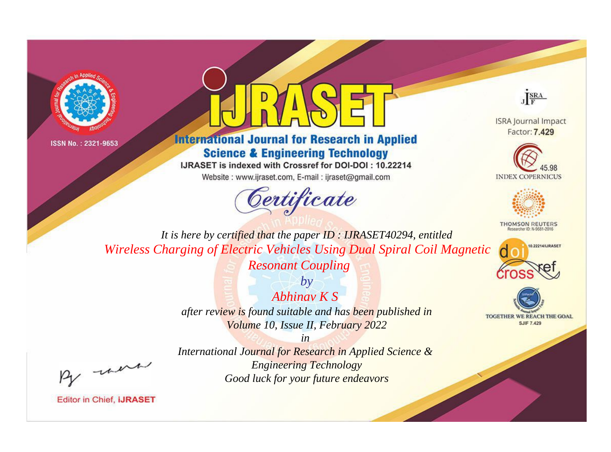



# **International Journal for Research in Applied Science & Engineering Technology**

IJRASET is indexed with Crossref for DOI-DOI: 10.22214

Website: www.ijraset.com, E-mail: ijraset@gmail.com



JERA

**ISRA Journal Impact** Factor: 7.429





**THOMSON REUTERS** 



TOGETHER WE REACH THE GOAL **SJIF 7.429** 

*It is here by certified that the paper ID : IJRASET40294, entitled Wireless Charging of Electric Vehicles Using Dual Spiral Coil Magnetic* 

*Resonant Coupling*

*Abhinav K S after review is found suitable and has been published in Volume 10, Issue II, February 2022*

*by*

*in International Journal for Research in Applied Science & Engineering Technology Good luck for your future endeavors*

, un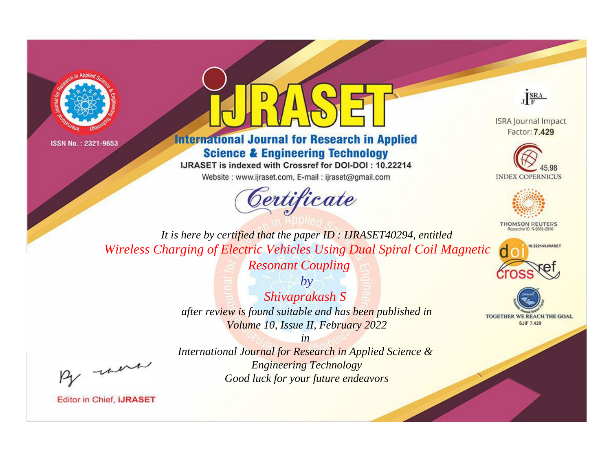



# **International Journal for Research in Applied Science & Engineering Technology**

IJRASET is indexed with Crossref for DOI-DOI: 10.22214

Website: www.ijraset.com, E-mail: ijraset@gmail.com



JERA

**ISRA Journal Impact** Factor: 7.429





**THOMSON REUTERS** 



TOGETHER WE REACH THE GOAL **SJIF 7.429** 

*It is here by certified that the paper ID : IJRASET40294, entitled Wireless Charging of Electric Vehicles Using Dual Spiral Coil Magnetic* 

*Resonant Coupling*

*by Shivaprakash S after review is found suitable and has been published in Volume 10, Issue II, February 2022*

*in International Journal for Research in Applied Science & Engineering Technology Good luck for your future endeavors*

, un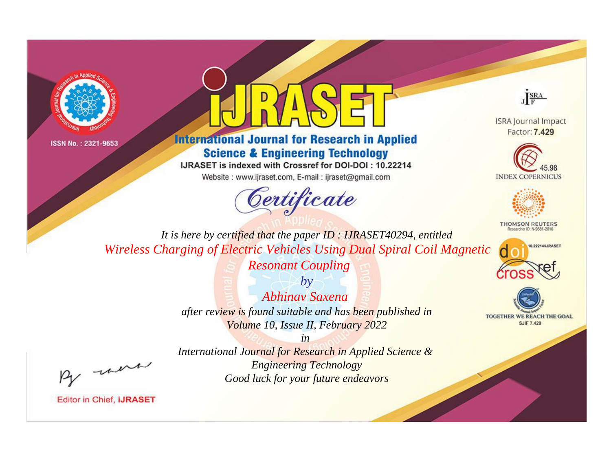



# **International Journal for Research in Applied Science & Engineering Technology**

IJRASET is indexed with Crossref for DOI-DOI: 10.22214

Website: www.ijraset.com, E-mail: ijraset@gmail.com



JERA

**ISRA Journal Impact** Factor: 7.429





**THOMSON REUTERS** 



TOGETHER WE REACH THE GOAL **SJIF 7.429** 

*It is here by certified that the paper ID : IJRASET40294, entitled Wireless Charging of Electric Vehicles Using Dual Spiral Coil Magnetic* 

*Resonant Coupling*

*by Abhinav Saxena after review is found suitable and has been published in Volume 10, Issue II, February 2022*

*in International Journal for Research in Applied Science & Engineering Technology Good luck for your future endeavors*

, un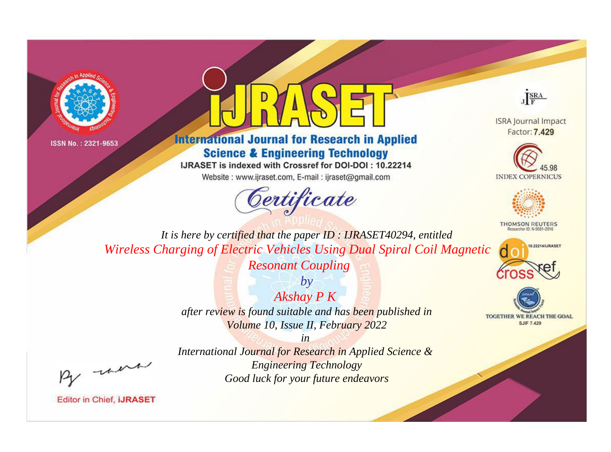



# **International Journal for Research in Applied Science & Engineering Technology**

IJRASET is indexed with Crossref for DOI-DOI: 10.22214

Website: www.ijraset.com, E-mail: ijraset@gmail.com



JERA

**ISRA Journal Impact** Factor: 7.429





**THOMSON REUTERS** 



TOGETHER WE REACH THE GOAL **SJIF 7.429** 

*It is here by certified that the paper ID : IJRASET40294, entitled Wireless Charging of Electric Vehicles Using Dual Spiral Coil Magnetic* 

*Resonant Coupling*

*Akshay P K after review is found suitable and has been published in Volume 10, Issue II, February 2022*

*by*

*in International Journal for Research in Applied Science & Engineering Technology Good luck for your future endeavors*

, un